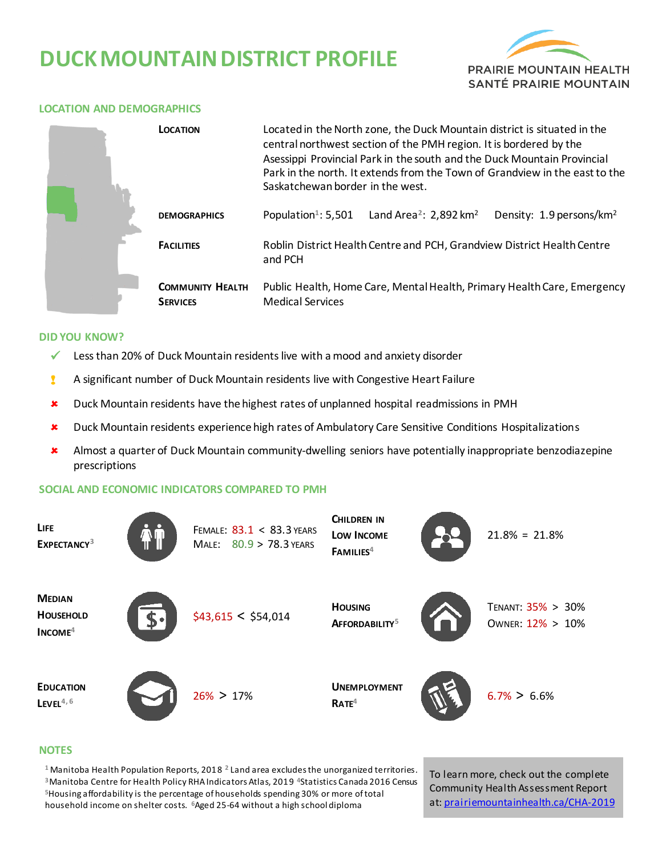# **DUCK MOUNTAIN DISTRICT PROFILE**



#### **LOCATION AND DEMOGRAPHICS**

| LOCATION                                   | Located in the North zone, the Duck Mountain district is situated in the<br>central northwest section of the PMH region. It is bordered by the<br>Asessippi Provincial Park in the south and the Duck Mountain Provincial<br>Park in the north. It extends from the Town of Grandview in the east to the<br>Saskatchewan border in the west. |                                                |                                      |  |  |
|--------------------------------------------|----------------------------------------------------------------------------------------------------------------------------------------------------------------------------------------------------------------------------------------------------------------------------------------------------------------------------------------------|------------------------------------------------|--------------------------------------|--|--|
| <b>DEMOGRAPHICS</b>                        | Population <sup>1</sup> : 5,501                                                                                                                                                                                                                                                                                                              | Land Area <sup>2</sup> : 2,892 km <sup>2</sup> | Density: 1.9 persons/km <sup>2</sup> |  |  |
| <b>FACILITIES</b>                          | Roblin District Health Centre and PCH, Grandview District Health Centre<br>and PCH                                                                                                                                                                                                                                                           |                                                |                                      |  |  |
| <b>COMMUNITY HEALTH</b><br><b>SERVICES</b> | Public Health, Home Care, Mental Health, Primary Health Care, Emergency<br><b>Medical Services</b>                                                                                                                                                                                                                                           |                                                |                                      |  |  |

#### **DID YOU KNOW?**

- $\checkmark$  Less than 20% of Duck Mountain residents live with a mood and anxiety disorder
- ! A significant number of Duck Mountain residents live with Congestive Heart Failure
- \* Duck Mountain residents have the highest rates of unplanned hospital readmissions in PMH
- Duck Mountain residents experience high rates of Ambulatory Care Sensitive Conditions Hospitalizations
- Almost a quarter of Duck Mountain community-dwelling seniors have potentially inappropriate benzodiazepine prescriptions

### **SOCIAL AND ECONOMIC INDICATORS COMPARED TO PMH**

| LIFE<br>EXPECTANCY <sup>3</sup>                | FEMALE: 83.1 < 83.3 YEARS<br>MALE: $80.9 > 78.3$ YEARS | <b>CHILDREN IN</b><br><b>LOW INCOME</b><br>FAMILIES <sup>4</sup> | $21.8\% = 21.8\%$                     |
|------------------------------------------------|--------------------------------------------------------|------------------------------------------------------------------|---------------------------------------|
| <b>MEDIAN</b><br><b>HOUSEHOLD</b><br>$INCOME4$ | \$43,615 < \$54,014                                    | <b>HOUSING</b><br>AFFORDABILITY <sup>5</sup>                     | TENANT: 35% > 30%<br>OWNER: 12% > 10% |
| <b>EDUCATION</b><br>$L$ EVEL <sup>4,6</sup>    | $26\% > 17\%$                                          | <b>UNEMPLOYMENT</b><br>RATE <sup>4</sup>                         | $6.7\% > 6.6\%$                       |

#### **NOTES**

 Manitoba Health Population Reports, 2018 **<sup>2</sup>**Land area excludes the unorganized territories. Manitoba Centre for Health Policy RHA Indicators Atlas, 2019 **<sup>4</sup>**Statistics Canada 2016 Census Housing affordability is the percentage of households spending 30% or more of total household income on shelter costs. **<sup>6</sup>**Aged 25-64 without a high school diploma

To learn more, check out the complete Community Health Assessment Report at[: prairiemountainhealth.ca/CHA-2019](https://prairiemountainhealth.ca/CHA-2019)